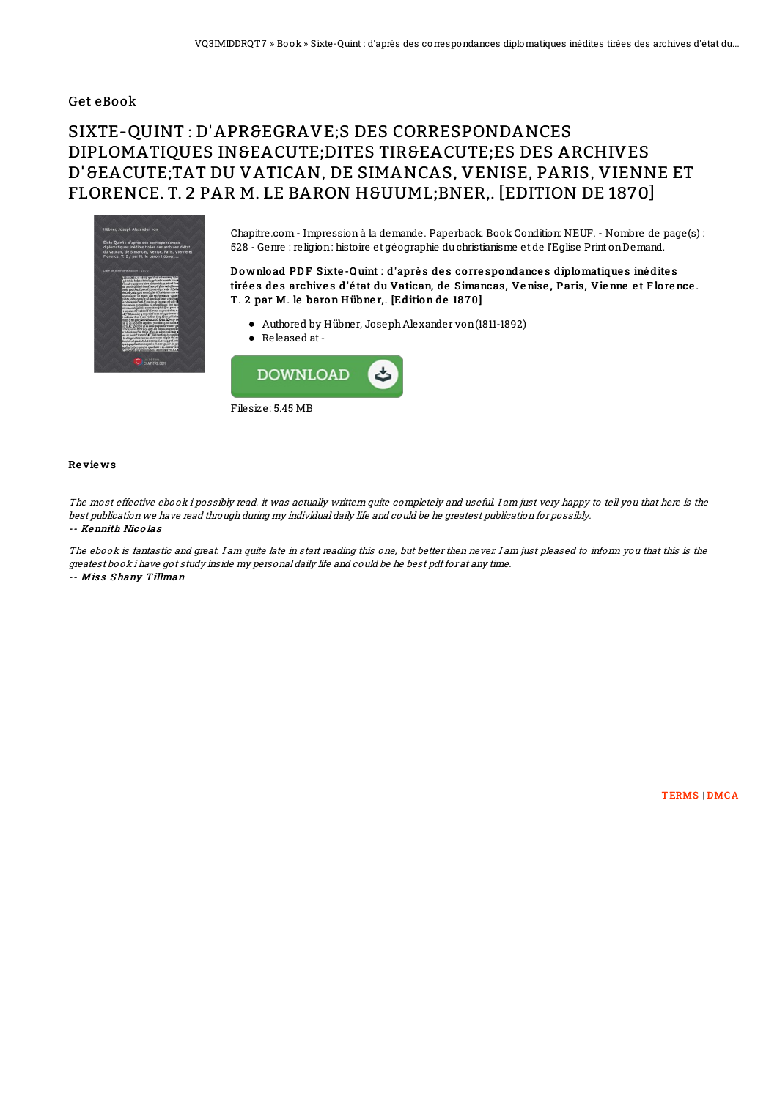### Get eBook

# SIXTE-QUINT : D'APRÈS DES CORRESPONDANCES DIPLOMATIOUES IN SEACUTE: DITES TIRGEACUTE: ES DES ARCHIVES D'SEACUTE; TAT DU VATICAN, DE SIMANCAS, VENISE, PARIS, VIENNE ET FLORENCE. T. 2 PAR M. LE BARON HÜ BNER.. [EDITION DE 1870]



Chapitre.com - Impression à la demande. Paperback. Book Condition: NEUF. - Nombre de page(s) : 528 - Genre : religion: histoire et géographie du christianisme et de l'Eglise Print onDemand.

#### D o wnlo ad PD F Sixte -Q uint : d'aprè s de s co rre spondance s diplomatique s iné dite s tirées des archives d'état du Vatican, de Simancas, Venise, Paris, Vienne et Florence. T. 2 par M. le baron Hübner,. [Edition de 1870]

- Authored by Hübner, JosephAlexander von(1811-1892)
- Released at -



#### Re vie ws

The most effective ebook i possibly read. it was actually writtern quite completely and useful. I am just very happy to tell you that here is the best publication we have read through during my individual daily life and could be he greatest publication for possibly. -- Kennith Nic o las

The ebook is fantastic and great. I am quite late in start reading this one, but better then never. I am just pleased to inform you that this is the greatest book i have got study inside my personal daily life and could be he best pdf for at any time. -- Miss Shany Tillman